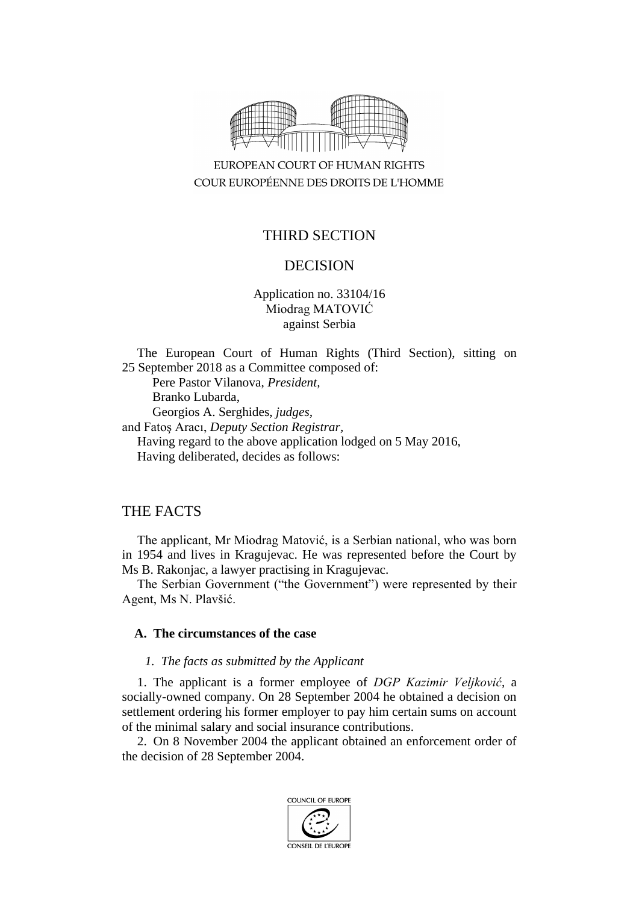

EUROPEAN COURT OF HUMAN RIGHTS COUR EUROPÉENNE DES DROITS DE L'HOMME

# THIRD SECTION

# DECISION

Application no. 33104/16 Miodrag MATOVIĆ against Serbia

The European Court of Human Rights (Third Section), sitting on 25 September 2018 as a Committee composed of: Pere Pastor Vilanova, *President,* Branko Lubarda, Georgios A. Serghides, *judges,* and Fatoş Aracı, *Deputy Section Registrar,* Having regard to the above application lodged on 5 May 2016, Having deliberated, decides as follows:

## THE FACTS

The applicant, Mr Miodrag Matović, is a Serbian national, who was born in 1954 and lives in Kragujevac. He was represented before the Court by Ms B. Rakonjac, a lawyer practising in Kragujevac.

The Serbian Government ("the Government") were represented by their Agent, Ms N. Plavšić.

### **A. The circumstances of the case**

#### *1. The facts as submitted by the Applicant*

1. The applicant is a former employee of *DGP Kazimir Veljković*, a socially-owned company. On 28 September 2004 he obtained a decision on settlement ordering his former employer to pay him certain sums on account of the minimal salary and social insurance contributions.

2. On 8 November 2004 the applicant obtained an enforcement order of the decision of 28 September 2004.

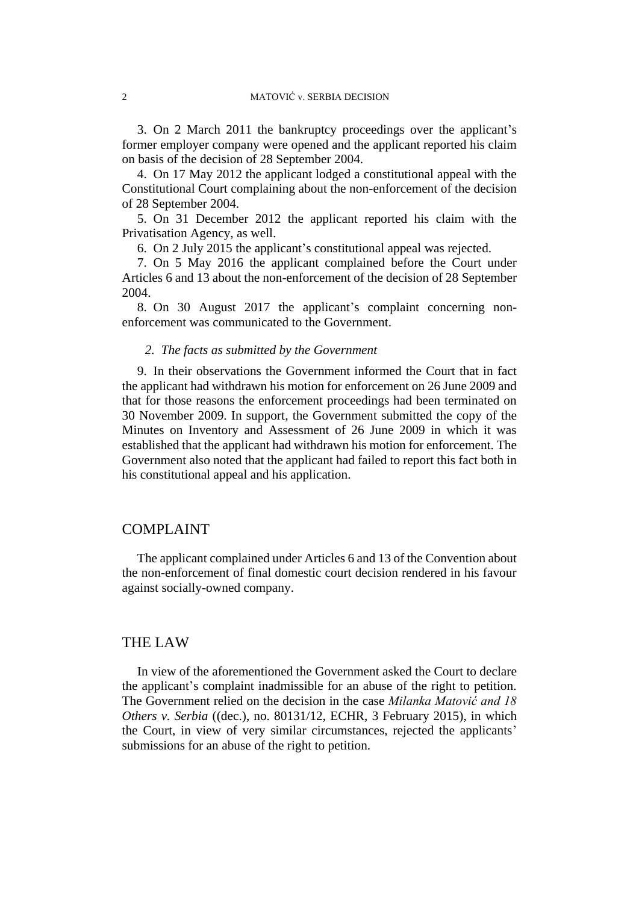3. On 2 March 2011 the bankruptcy proceedings over the applicant's former employer company were opened and the applicant reported his claim on basis of the decision of 28 September 2004.

4. On 17 May 2012 the applicant lodged a constitutional appeal with the Constitutional Court complaining about the non-enforcement of the decision of 28 September 2004.

5. On 31 December 2012 the applicant reported his claim with the Privatisation Agency, as well.

6. On 2 July 2015 the applicant's constitutional appeal was rejected.

7. On 5 May 2016 the applicant complained before the Court under Articles 6 and 13 about the non-enforcement of the decision of 28 September 2004.

8. On 30 August 2017 the applicant's complaint concerning nonenforcement was communicated to the Government.

#### *2. The facts as submitted by the Government*

9. In their observations the Government informed the Court that in fact the applicant had withdrawn his motion for enforcement on 26 June 2009 and that for those reasons the enforcement proceedings had been terminated on 30 November 2009. In support, the Government submitted the copy of the Minutes on Inventory and Assessment of 26 June 2009 in which it was established that the applicant had withdrawn his motion for enforcement. The Government also noted that the applicant had failed to report this fact both in his constitutional appeal and his application.

### COMPLAINT

The applicant complained under Articles 6 and 13 of the Convention about the non-enforcement of final domestic court decision rendered in his favour against socially-owned company.

## THE LAW

In view of the aforementioned the Government asked the Court to declare the applicant's complaint inadmissible for an abuse of the right to petition. The Government relied on the decision in the case *Milanka Matović and 18 Others v. Serbia* ((dec.), no. 80131/12, ECHR, 3 February 2015), in which the Court, in view of very similar circumstances, rejected the applicants' submissions for an abuse of the right to petition.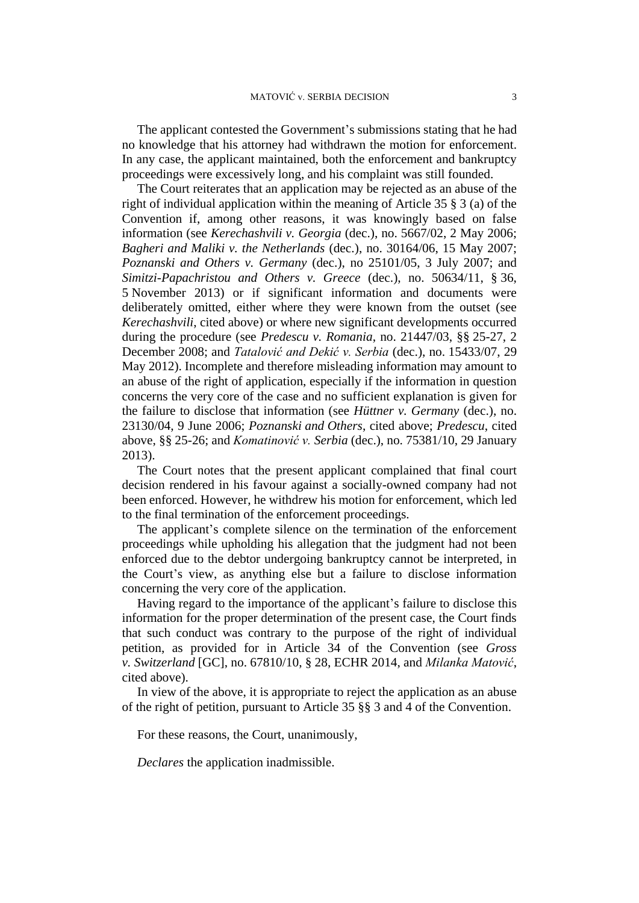The applicant contested the Government's submissions stating that he had no knowledge that his attorney had withdrawn the motion for enforcement. In any case, the applicant maintained, both the enforcement and bankruptcy proceedings were excessively long, and his complaint was still founded.

The Court reiterates that an application may be rejected as an abuse of the right of individual application within the meaning of Article 35 § 3 (a) of the Convention if, among other reasons, it was knowingly based on false information (see *Kerechashvili v. Georgia* (dec.), no. 5667/02, 2 May 2006; *Bagheri and Maliki v. the Netherlands* (dec.), no. 30164/06, 15 May 2007; *Poznanski and Others v. Germany* (dec.), no 25101/05, 3 July 2007; and *Simitzi-Papachristou and Others v. Greece* (dec.), no. 50634/11, § 36, 5 November 2013) or if significant information and documents were deliberately omitted, either where they were known from the outset (see *Kerechashvili*, cited above) or where new significant developments occurred during the procedure (see *Predescu v. Romania*, no. 21447/03, §§ 25-27, 2 December 2008; and *Tatalović and Dekić v. Serbia* (dec.), no. 15433/07, 29 May 2012). Incomplete and therefore misleading information may amount to an abuse of the right of application, especially if the information in question concerns the very core of the case and no sufficient explanation is given for the failure to disclose that information (see *Hüttner v. Germany* (dec.), no. 23130/04, 9 June 2006; *Poznanski and Others*, cited above; *Predescu*, cited above, §§ 25-26; and *Komatinović v. Serbia* (dec.), no. 75381/10, 29 January 2013).

The Court notes that the present applicant complained that final court decision rendered in his favour against a socially-owned company had not been enforced. However, he withdrew his motion for enforcement, which led to the final termination of the enforcement proceedings.

The applicant's complete silence on the termination of the enforcement proceedings while upholding his allegation that the judgment had not been enforced due to the debtor undergoing bankruptcy cannot be interpreted, in the Court's view, as anything else but a failure to disclose information concerning the very core of the application.

Having regard to the importance of the applicant's failure to disclose this information for the proper determination of the present case, the Court finds that such conduct was contrary to the purpose of the right of individual petition, as provided for in Article 34 of the Convention (see *Gross v. Switzerland* [GC], no. 67810/10, § 28, ECHR 2014, and *Milanka Matović*, cited above).

In view of the above, it is appropriate to reject the application as an abuse of the right of petition, pursuant to Article 35 §§ 3 and 4 of the Convention.

For these reasons, the Court, unanimously,

*Declares* the application inadmissible.